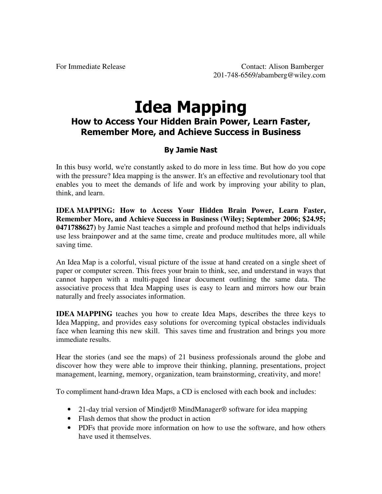# **Idea Mapping**

## How to Access Your Hidden Brain Power, Learn Faster, **Remember More, and Achieve Success in Business**

### **By Jamie Nast**

In this busy world, we're constantly asked to do more in less time. But how do you cope with the pressure? Idea mapping is the answer. It's an effective and revolutionary tool that enables you to meet the demands of life and work by improving your ability to plan, think, and learn.

**IDEA MAPPING: How to Access Your Hidden Brain Power, Learn Faster, Remember More, and Achieve Success in Business (Wiley; September 2006; \$24.95; 0471788627)** by Jamie Nast teaches a simple and profound method that helps individuals use less brainpower and at the same time, create and produce multitudes more, all while saving time.

An Idea Map is a colorful, visual picture of the issue at hand created on a single sheet of paper or computer screen. This frees your brain to think, see, and understand in ways that cannot happen with a multi-paged linear document outlining the same data. The associative process that Idea Mapping uses is easy to learn and mirrors how our brain naturally and freely associates information.

**IDEA MAPPING** teaches you how to create Idea Maps, describes the three keys to Idea Mapping, and provides easy solutions for overcoming typical obstacles individuals face when learning this new skill. This saves time and frustration and brings you more immediate results.

Hear the stories (and see the maps) of 21 business professionals around the globe and discover how they were able to improve their thinking, planning, presentations, project management, learning, memory, organization, team brainstorming, creativity, and more!

To compliment hand-drawn Idea Maps, a CD is enclosed with each book and includes:

- 21-day trial version of Mindjet<sup>®</sup> MindManager<sup>®</sup> software for idea mapping
- Flash demos that show the product in action
- PDFs that provide more information on how to use the software, and how others have used it themselves.